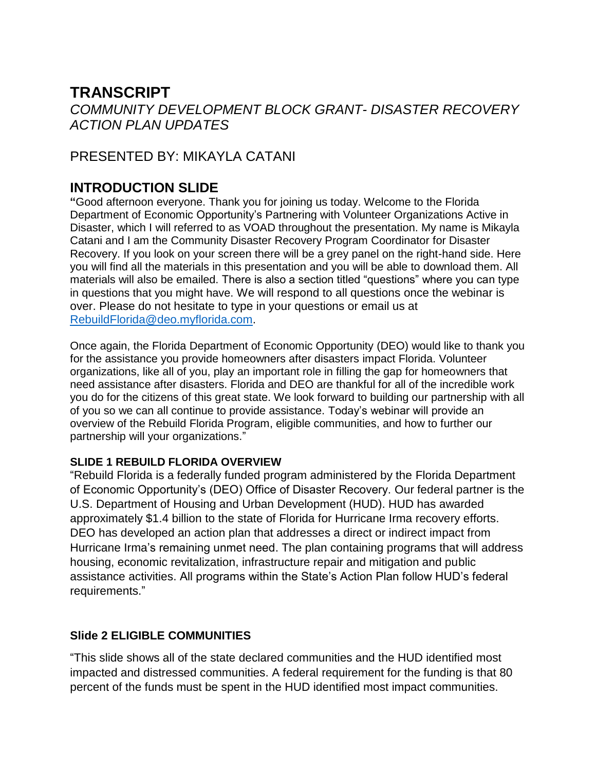# **TRANSCRIPT**

 *ACTION PLAN UPDATES COMMUNITY DEVELOPMENT BLOCK GRANT- DISASTER RECOVERY* 

# PRESENTED BY: MIKAYLA CATANI

# **INTRODUCTION SLIDE**

 **"**Good afternoon everyone. Thank you for joining us today. Welcome to the Florida Department of Economic Opportunity's Partnering with Volunteer Organizations Active in Disaster, which I will referred to as VOAD throughout the presentation. My name is Mikayla Catani and I am the Community Disaster Recovery Program Coordinator for Disaster Recovery. If you look on your screen there will be a grey panel on the right-hand side. Here you will find all the materials in this presentation and you will be able to download them. All materials will also be emailed. There is also a section titled "questions" where you can type in questions that you might have. We will respond to all questions once the webinar is over. Please do not hesitate to type in your questions or email us at [RebuildFlorida@deo.myflorida.com.](mailto:RebuildFlorida@deo.myflorida.com)

 Once again, the Florida Department of Economic Opportunity (DEO) would like to thank you for the assistance you provide homeowners after disasters impact Florida. Volunteer organizations, like all of you, play an important role in filling the gap for homeowners that need assistance after disasters. Florida and DEO are thankful for all of the incredible work you do for the citizens of this great state. We look forward to building our partnership with all of you so we can all continue to provide assistance. Today's webinar will provide an overview of the Rebuild Florida Program, eligible communities, and how to further our partnership will your organizations."

#### **SLIDE 1 REBUILD FLORIDA OVERVIEW**

 DEO has developed an action plan that addresses a direct or indirect impact from housing, economic revitalization, infrastructure repair and mitigation and public "Rebuild Florida is a federally funded program administered by the Florida Department of Economic Opportunity's (DEO) Office of Disaster Recovery. Our federal partner is the U.S. Department of Housing and Urban Development (HUD). HUD has awarded approximately \$1.4 billion to the state of Florida for Hurricane Irma recovery efforts. Hurricane Irma's remaining unmet need. The plan containing programs that will address assistance activities. All programs within the State's Action Plan follow HUD's federal requirements."

# **Slide 2 ELIGIBLE COMMUNITIES**

 percent of the funds must be spent in the HUD identified most impact communities. "This slide shows all of the state declared communities and the HUD identified most impacted and distressed communities. A federal requirement for the funding is that 80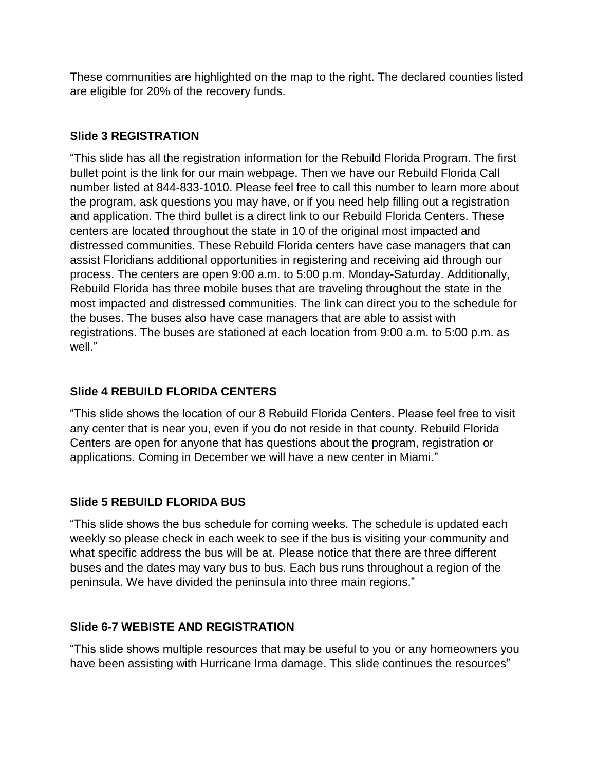These communities are highlighted on the map to the right. The declared counties listed are eligible for 20% of the recovery funds.

## **Slide 3 REGISTRATION**

 process. The centers are open 9:00 a.m. to 5:00 p.m. Monday-Saturday. Additionally, the buses. The buses also have case managers that are able to assist with registrations. The buses are stationed at each location from 9:00 a.m. to 5:00 p.m. as "This slide has all the registration information for the Rebuild Florida Program. The first bullet point is the link for our main webpage. Then we have our Rebuild Florida Call number listed at 844-833-1010. Please feel free to call this number to learn more about the program, ask questions you may have, or if you need help filling out a registration and application. The third bullet is a direct link to our Rebuild Florida Centers. These centers are located throughout the state in 10 of the original most impacted and distressed communities. These Rebuild Florida centers have case managers that can assist Floridians additional opportunities in registering and receiving aid through our Rebuild Florida has three mobile buses that are traveling throughout the state in the most impacted and distressed communities. The link can direct you to the schedule for well."

## **Slide 4 REBUILD FLORIDA CENTERS**

 "This slide shows the location of our 8 Rebuild Florida Centers. Please feel free to visit any center that is near you, even if you do not reside in that county. Rebuild Florida Centers are open for anyone that has questions about the program, registration or applications. Coming in December we will have a new center in Miami."

# **Slide 5 REBUILD FLORIDA BUS**

 peninsula. We have divided the peninsula into three main regions." "This slide shows the bus schedule for coming weeks. The schedule is updated each weekly so please check in each week to see if the bus is visiting your community and what specific address the bus will be at. Please notice that there are three different buses and the dates may vary bus to bus. Each bus runs throughout a region of the

#### **Slide 6-7 WEBISTE AND REGISTRATION**

"This slide shows multiple resources that may be useful to you or any homeowners you have been assisting with Hurricane Irma damage. This slide continues the resources"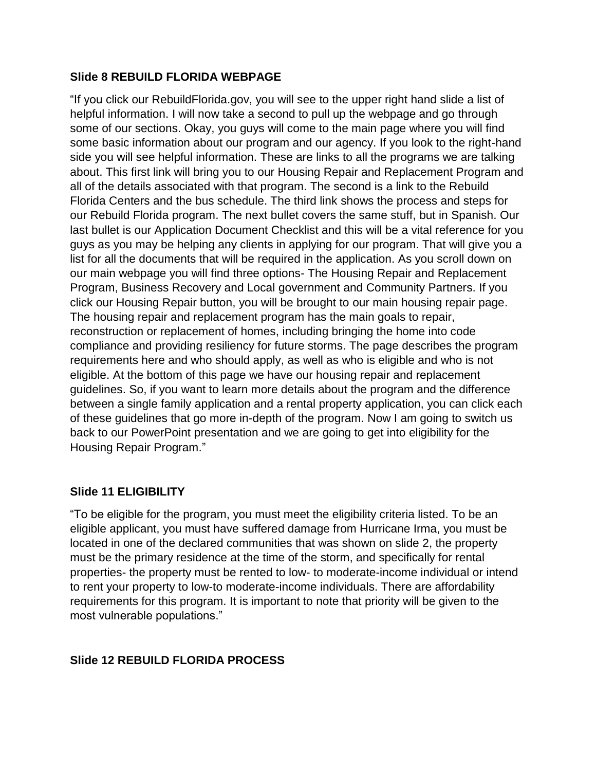#### **Slide 8 REBUILD FLORIDA WEBPAGE**

 some of our sections. Okay, you guys will come to the main page where you will find last bullet is our Application Document Checklist and this will be a vital reference for you guys as you may be helping any clients in applying for our program. That will give you a "If you click our RebuildFlorida.gov, you will see to the upper right hand slide a list of helpful information. I will now take a second to pull up the webpage and go through some basic information about our program and our agency. If you look to the right-hand side you will see helpful information. These are links to all the programs we are talking about. This first link will bring you to our Housing Repair and Replacement Program and all of the details associated with that program. The second is a link to the Rebuild Florida Centers and the bus schedule. The third link shows the process and steps for our Rebuild Florida program. The next bullet covers the same stuff, but in Spanish. Our list for all the documents that will be required in the application. As you scroll down on our main webpage you will find three options- The Housing Repair and Replacement Program, Business Recovery and Local government and Community Partners. If you click our Housing Repair button, you will be brought to our main housing repair page. The housing repair and replacement program has the main goals to repair, reconstruction or replacement of homes, including bringing the home into code compliance and providing resiliency for future storms. The page describes the program requirements here and who should apply, as well as who is eligible and who is not eligible. At the bottom of this page we have our housing repair and replacement guidelines. So, if you want to learn more details about the program and the difference between a single family application and a rental property application, you can click each of these guidelines that go more in-depth of the program. Now I am going to switch us back to our PowerPoint presentation and we are going to get into eligibility for the Housing Repair Program."

#### **Slide 11 ELIGIBILITY**

 "To be eligible for the program, you must meet the eligibility criteria listed. To be an eligible applicant, you must have suffered damage from Hurricane Irma, you must be located in one of the declared communities that was shown on slide 2, the property must be the primary residence at the time of the storm, and specifically for rental properties- the property must be rented to low- to moderate-income individual or intend to rent your property to low-to moderate-income individuals. There are affordability requirements for this program. It is important to note that priority will be given to the most vulnerable populations."

# **Slide 12 REBUILD FLORIDA PROCESS**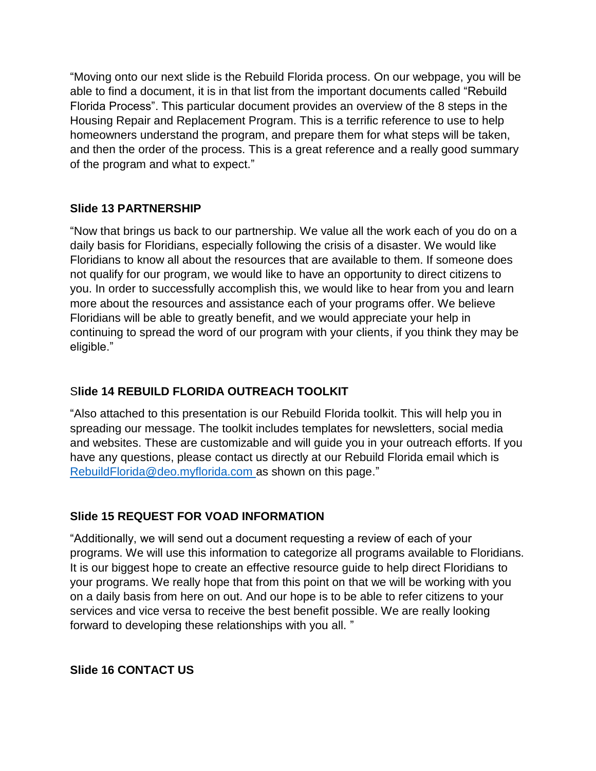Housing Repair and Replacement Program. This is a terrific reference to use to help "Moving onto our next slide is the Rebuild Florida process. On our webpage, you will be able to find a document, it is in that list from the important documents called "Rebuild Florida Process". This particular document provides an overview of the 8 steps in the homeowners understand the program, and prepare them for what steps will be taken, and then the order of the process. This is a great reference and a really good summary of the program and what to expect."

#### **Slide 13 PARTNERSHIP**

 "Now that brings us back to our partnership. We value all the work each of you do on a you. In order to successfully accomplish this, we would like to hear from you and learn continuing to spread the word of our program with your clients, if you think they may be daily basis for Floridians, especially following the crisis of a disaster. We would like Floridians to know all about the resources that are available to them. If someone does not qualify for our program, we would like to have an opportunity to direct citizens to more about the resources and assistance each of your programs offer. We believe Floridians will be able to greatly benefit, and we would appreciate your help in eligible."

#### S**lide 14 REBUILD FLORIDA OUTREACH TOOLKIT**

"Also attached to this presentation is our Rebuild Florida toolkit. This will help you in spreading our message. The toolkit includes templates for newsletters, social media and websites. These are customizable and will guide you in your outreach efforts. If you have any questions, please contact us directly at our Rebuild Florida email which is [RebuildFlorida@deo.myflorida.com](mailto:RebuildFlorida@deo.myflorida.com) as shown on this page."

#### **Slide 15 REQUEST FOR VOAD INFORMATION**

 "Additionally, we will send out a document requesting a review of each of your your programs. We really hope that from this point on that we will be working with you services and vice versa to receive the best benefit possible. We are really looking programs. We will use this information to categorize all programs available to Floridians. It is our biggest hope to create an effective resource guide to help direct Floridians to on a daily basis from here on out. And our hope is to be able to refer citizens to your forward to developing these relationships with you all. "

#### **Slide 16 CONTACT US**